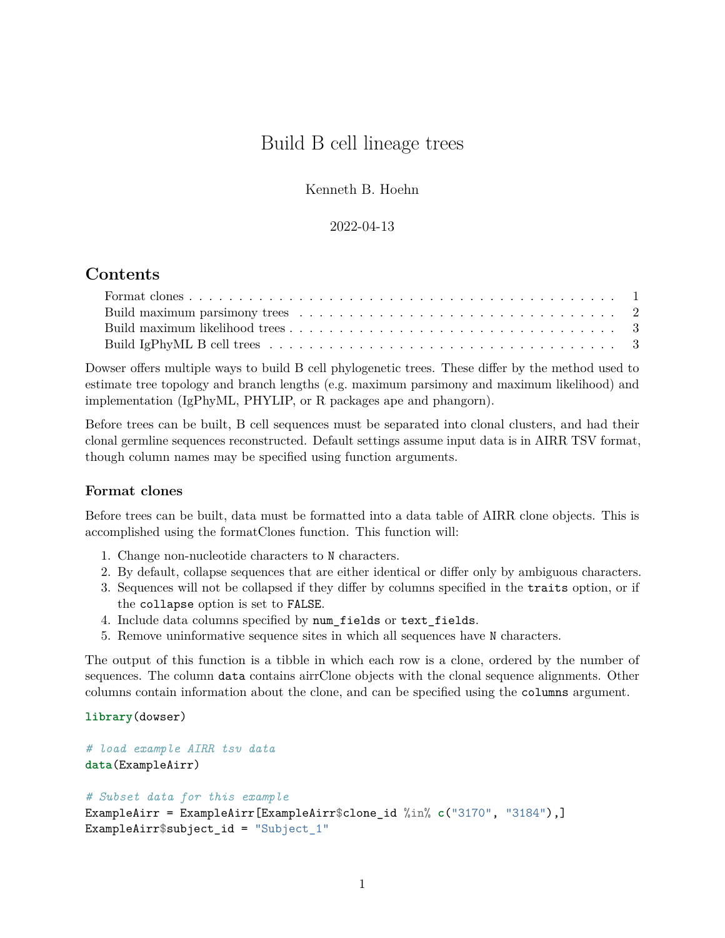# Build B cell lineage trees

Kenneth B. Hoehn

#### 2022-04-13

# **Contents**

| Build maximum parsimony trees $\ldots \ldots \ldots \ldots \ldots \ldots \ldots \ldots \ldots \ldots \ldots 2$ |  |
|----------------------------------------------------------------------------------------------------------------|--|
|                                                                                                                |  |
|                                                                                                                |  |

Dowser offers multiple ways to build B cell phylogenetic trees. These differ by the method used to estimate tree topology and branch lengths (e.g. maximum parsimony and maximum likelihood) and implementation (IgPhyML, PHYLIP, or R packages ape and phangorn).

Before trees can be built, B cell sequences must be separated into clonal clusters, and had their clonal germline sequences reconstructed. Default settings assume input data is in AIRR TSV format, though column names may be specified using function arguments.

### <span id="page-0-0"></span>**Format clones**

Before trees can be built, data must be formatted into a data table of AIRR clone objects. This is accomplished using the formatClones function. This function will:

- 1. Change non-nucleotide characters to N characters.
- 2. By default, collapse sequences that are either identical or differ only by ambiguous characters.
- 3. Sequences will not be collapsed if they differ by columns specified in the traits option, or if the collapse option is set to FALSE.
- 4. Include data columns specified by num\_fields or text\_fields.
- 5. Remove uninformative sequence sites in which all sequences have N characters.

The output of this function is a tibble in which each row is a clone, ordered by the number of sequences. The column data contains airrClone objects with the clonal sequence alignments. Other columns contain information about the clone, and can be specified using the columns argument.

**library**(dowser)

```
# load example AIRR tsv data
data(ExampleAirr)
# Subset data for this example
ExampleAirr = ExampleAirr[ExampleAirr$clone_id %in% c("3170", "3184"),]
ExampleAirr$subject_id = "Subject_1"
```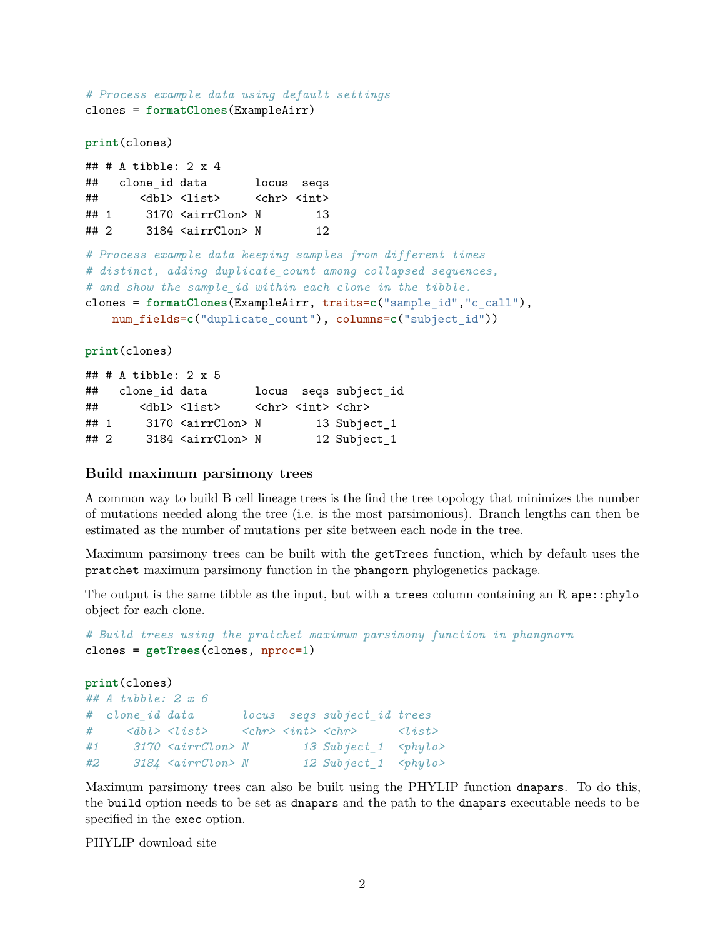```
# Process example data using default settings
clones = formatClones(ExampleAirr)
print(clones)
## # A tibble: 2 x 4
## clone_id data locus seqs
## <dbl> <list> <chr> <int>
## 1 3170 <airrClon> N 13
## 2 3184 <airrClon> N 12
# Process example data keeping samples from different times
# distinct, adding duplicate_count among collapsed sequences,
# and show the sample_id within each clone in the tibble.
clones = formatClones(ExampleAirr, traits=c("sample_id","c_call"),
   num_fields=c("duplicate_count"), columns=c("subject_id"))
print(clones)
## # A tibble: 2 x 5
## clone_id data locus seqs subject_id
## <dbl><list> <chr><int><chr>
```

```
## 1 3170 <airrClon> N 13 Subject_1
## 2 3184 <airrClon> N 12 Subject_1
```
#### <span id="page-1-0"></span>**Build maximum parsimony trees**

A common way to build B cell lineage trees is the find the tree topology that minimizes the number of mutations needed along the tree (i.e. is the most parsimonious). Branch lengths can then be estimated as the number of mutations per site between each node in the tree.

Maximum parsimony trees can be built with the getTrees function, which by default uses the pratchet maximum parsimony function in the phangorn phylogenetics package.

The output is the same tibble as the input, but with a trees column containing an R ape::phylo object for each clone.

```
# Build trees using the pratchet maximum parsimony function in phangnorn
clones = getTrees(clones, nproc=1)
```

```
print(clones)
## A tibble: 2 x 6
# clone_id data locus seqs subject_id trees
# <dbl> <list> <chr> <int> <chr> <list>
#1 3170 <airrClon> N 13 Subject_1 <phylo>
#2 3184 <airrClon> N 12 Subject_1 <phylo>
```
Maximum parsimony trees can also be built using the PHYLIP function dnapars. To do this, the build option needs to be set as dnapars and the path to the dnapars executable needs to be specified in the exec option.

[PHYLIP download site](https://evolution.genetics.washington.edu/phylip/getme-new1.html)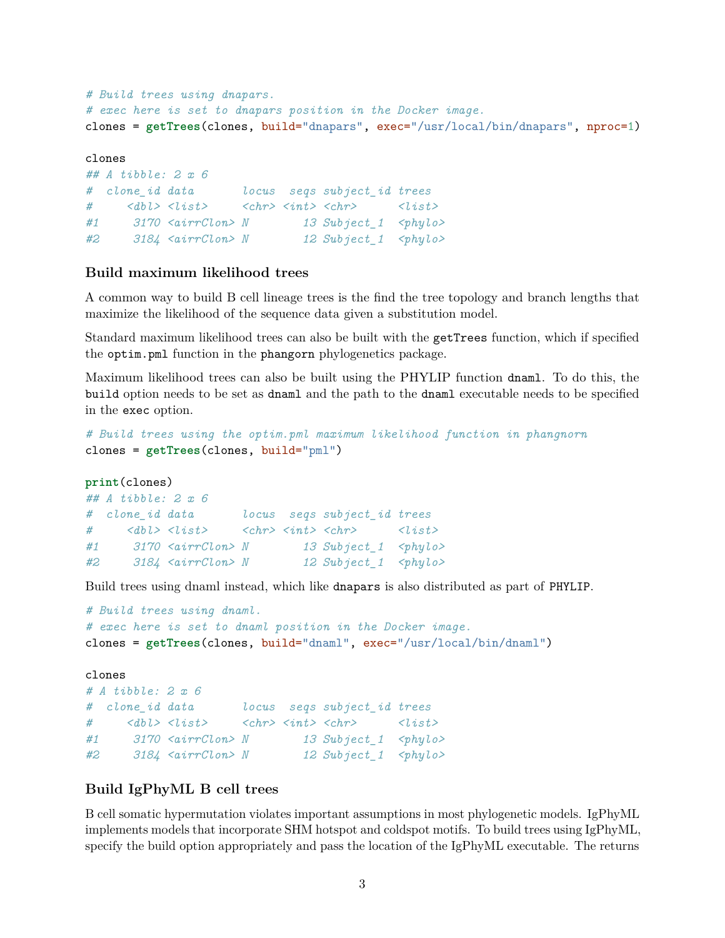```
# Build trees using dnapars.
# exec here is set to dnapars position in the Docker image.
clones = getTrees(clones, build="dnapars", exec="/usr/local/bin/dnapars", nproc=1)
clones
## A tibble: 2 x 6
# clone_id data locus seqs subject_id trees
# <dbl> <list> <chr> <int> <chr> <list>
#1 3170 <airrClon> N 13 Subject_1 <phylo>
#2 3184 <airrClon> N 12 Subject_1 <phylo>
```
# <span id="page-2-0"></span>**Build maximum likelihood trees**

A common way to build B cell lineage trees is the find the tree topology and branch lengths that maximize the likelihood of the sequence data given a substitution model.

Standard maximum likelihood trees can also be built with the getTrees function, which if specified the optim.pml function in the phangorn phylogenetics package.

Maximum likelihood trees can also be built using the PHYLIP function dnaml. To do this, the build option needs to be set as dnaml and the path to the dnaml executable needs to be specified in the exec option.

```
# Build trees using the optim.pml maximum likelihood function in phangnorn
clones = getTrees(clones, build="pml")
```

```
print(clones)
## A tibble: 2 x 6
# clone_id data locus seqs subject_id trees
# <dbl> <list> <chr> <int> <chr> <list>
#1 3170 <airrClon> N 13 Subject_1 <phylo>
#2 3184 <airrClon> N 12 Subject_1 <phylo>
```
Build trees using dnaml instead, which like dnapars is also distributed as part of PHYLIP.

```
# Build trees using dnaml.
# exec here is set to dnaml position in the Docker image.
clones = getTrees(clones, build="dnaml", exec="/usr/local/bin/dnaml")
clones
# A tibble: 2 x 6
# clone_id data locus seqs subject_id trees
# <dbl> <list> <chr> <int> <chr> <list>
#1 3170 <airrClon> N 13 Subject_1 <phylo>
#2 3184 <airrClon> N 12 Subject_1 <phylo>
```
# <span id="page-2-1"></span>**Build IgPhyML B cell trees**

B cell somatic hypermutation violates important assumptions in most phylogenetic models. IgPhyML implements models that incorporate SHM hotspot and coldspot motifs. To build trees using IgPhyML, specify the build option appropriately and pass the location of the IgPhyML executable. The returns